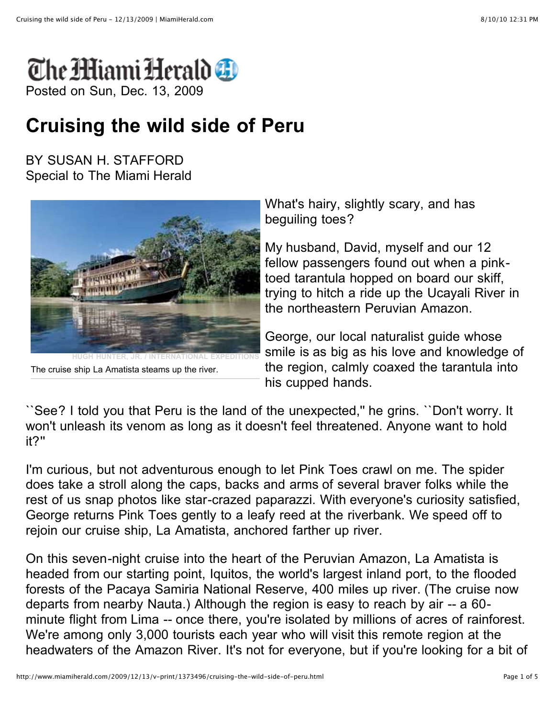

## **Cruising the wild side of Peru**

BY SUSAN H. STAFFORD Special to The Miami Herald



The cruise ship La Amatista steams up the river.

What's hairy, slightly scary, and has beguiling toes?

My husband, David, myself and our 12 fellow passengers found out when a pinktoed tarantula hopped on board our skiff, trying to hitch a ride up the Ucayali River in the northeastern Peruvian Amazon.

George, our local naturalist guide whose smile is as big as his love and knowledge of the region, calmly coaxed the tarantula into his cupped hands.

``See? I told you that Peru is the land of the unexpected,'' he grins. ``Don't worry. It won't unleash its venom as long as it doesn't feel threatened. Anyone want to hold it?''

I'm curious, but not adventurous enough to let Pink Toes crawl on me. The spider does take a stroll along the caps, backs and arms of several braver folks while the rest of us snap photos like star-crazed paparazzi. With everyone's curiosity satisfied, George returns Pink Toes gently to a leafy reed at the riverbank. We speed off to rejoin our cruise ship, La Amatista, anchored farther up river.

On this seven-night cruise into the heart of the Peruvian Amazon, La Amatista is headed from our starting point, Iquitos, the world's largest inland port, to the flooded forests of the Pacaya Samiria National Reserve, 400 miles up river. (The cruise now departs from nearby Nauta.) Although the region is easy to reach by air -- a 60 minute flight from Lima -- once there, you're isolated by millions of acres of rainforest. We're among only 3,000 tourists each year who will visit this remote region at the headwaters of the Amazon River. It's not for everyone, but if you're looking for a bit of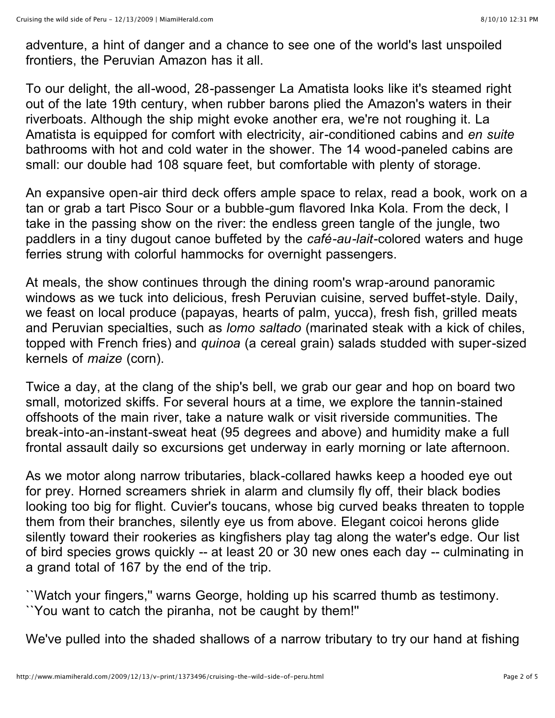adventure, a hint of danger and a chance to see one of the world's last unspoiled frontiers, the Peruvian Amazon has it all.

To our delight, the all-wood, 28-passenger La Amatista looks like it's steamed right out of the late 19th century, when rubber barons plied the Amazon's waters in their riverboats. Although the ship might evoke another era, we're not roughing it. La Amatista is equipped for comfort with electricity, air-conditioned cabins and *en suite* bathrooms with hot and cold water in the shower. The 14 wood-paneled cabins are small: our double had 108 square feet, but comfortable with plenty of storage.

An expansive open-air third deck offers ample space to relax, read a book, work on a tan or grab a tart Pisco Sour or a bubble-gum flavored Inka Kola. From the deck, I take in the passing show on the river: the endless green tangle of the jungle, two paddlers in a tiny dugout canoe buffeted by the *café-au-lait*-colored waters and huge ferries strung with colorful hammocks for overnight passengers.

At meals, the show continues through the dining room's wrap-around panoramic windows as we tuck into delicious, fresh Peruvian cuisine, served buffet-style. Daily, we feast on local produce (papayas, hearts of palm, yucca), fresh fish, grilled meats and Peruvian specialties, such as *lomo saltado* (marinated steak with a kick of chiles, topped with French fries) and *quinoa* (a cereal grain) salads studded with super-sized kernels of *maize* (corn).

Twice a day, at the clang of the ship's bell, we grab our gear and hop on board two small, motorized skiffs. For several hours at a time, we explore the tannin-stained offshoots of the main river, take a nature walk or visit riverside communities. The break-into-an-instant-sweat heat (95 degrees and above) and humidity make a full frontal assault daily so excursions get underway in early morning or late afternoon.

As we motor along narrow tributaries, black-collared hawks keep a hooded eye out for prey. Horned screamers shriek in alarm and clumsily fly off, their black bodies looking too big for flight. Cuvier's toucans, whose big curved beaks threaten to topple them from their branches, silently eye us from above. Elegant coicoi herons glide silently toward their rookeries as kingfishers play tag along the water's edge. Our list of bird species grows quickly -- at least 20 or 30 new ones each day -- culminating in a grand total of 167 by the end of the trip.

``Watch your fingers,'' warns George, holding up his scarred thumb as testimony. ``You want to catch the piranha, not be caught by them!''

We've pulled into the shaded shallows of a narrow tributary to try our hand at fishing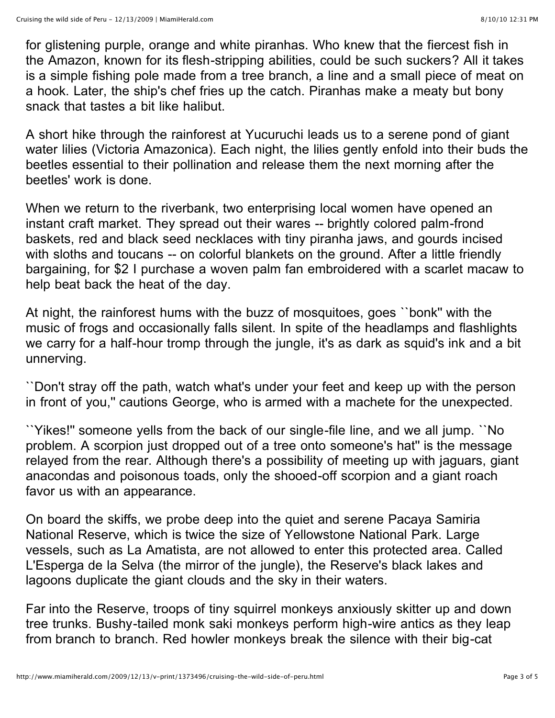for glistening purple, orange and white piranhas. Who knew that the fiercest fish in the Amazon, known for its flesh-stripping abilities, could be such suckers? All it takes is a simple fishing pole made from a tree branch, a line and a small piece of meat on a hook. Later, the ship's chef fries up the catch. Piranhas make a meaty but bony snack that tastes a bit like halibut.

A short hike through the rainforest at Yucuruchi leads us to a serene pond of giant water lilies (Victoria Amazonica). Each night, the lilies gently enfold into their buds the beetles essential to their pollination and release them the next morning after the beetles' work is done.

When we return to the riverbank, two enterprising local women have opened an instant craft market. They spread out their wares -- brightly colored palm-frond baskets, red and black seed necklaces with tiny piranha jaws, and gourds incised with sloths and toucans -- on colorful blankets on the ground. After a little friendly bargaining, for \$2 I purchase a woven palm fan embroidered with a scarlet macaw to help beat back the heat of the day.

At night, the rainforest hums with the buzz of mosquitoes, goes ``bonk'' with the music of frogs and occasionally falls silent. In spite of the headlamps and flashlights we carry for a half-hour tromp through the jungle, it's as dark as squid's ink and a bit unnerving.

``Don't stray off the path, watch what's under your feet and keep up with the person in front of you,'' cautions George, who is armed with a machete for the unexpected.

``Yikes!'' someone yells from the back of our single-file line, and we all jump. ``No problem. A scorpion just dropped out of a tree onto someone's hat'' is the message relayed from the rear. Although there's a possibility of meeting up with jaguars, giant anacondas and poisonous toads, only the shooed-off scorpion and a giant roach favor us with an appearance.

On board the skiffs, we probe deep into the quiet and serene Pacaya Samiria National Reserve, which is twice the size of Yellowstone National Park. Large vessels, such as La Amatista, are not allowed to enter this protected area. Called L'Esperga de la Selva (the mirror of the jungle), the Reserve's black lakes and lagoons duplicate the giant clouds and the sky in their waters.

Far into the Reserve, troops of tiny squirrel monkeys anxiously skitter up and down tree trunks. Bushy-tailed monk saki monkeys perform high-wire antics as they leap from branch to branch. Red howler monkeys break the silence with their big-cat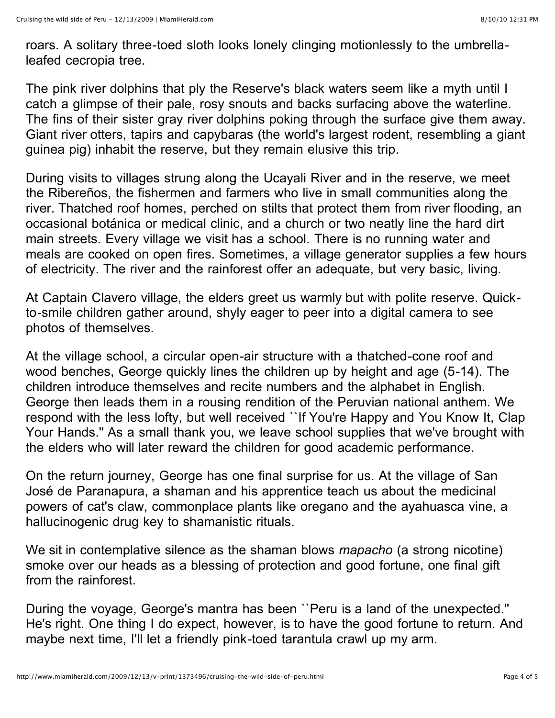roars. A solitary three-toed sloth looks lonely clinging motionlessly to the umbrellaleafed cecropia tree.

The pink river dolphins that ply the Reserve's black waters seem like a myth until I catch a glimpse of their pale, rosy snouts and backs surfacing above the waterline. The fins of their sister gray river dolphins poking through the surface give them away. Giant river otters, tapirs and capybaras (the world's largest rodent, resembling a giant guinea pig) inhabit the reserve, but they remain elusive this trip.

During visits to villages strung along the Ucayali River and in the reserve, we meet the Ribereños, the fishermen and farmers who live in small communities along the river. Thatched roof homes, perched on stilts that protect them from river flooding, an occasional botánica or medical clinic, and a church or two neatly line the hard dirt main streets. Every village we visit has a school. There is no running water and meals are cooked on open fires. Sometimes, a village generator supplies a few hours of electricity. The river and the rainforest offer an adequate, but very basic, living.

At Captain Clavero village, the elders greet us warmly but with polite reserve. Quickto-smile children gather around, shyly eager to peer into a digital camera to see photos of themselves.

At the village school, a circular open-air structure with a thatched-cone roof and wood benches, George quickly lines the children up by height and age (5-14). The children introduce themselves and recite numbers and the alphabet in English. George then leads them in a rousing rendition of the Peruvian national anthem. We respond with the less lofty, but well received ``If You're Happy and You Know It, Clap Your Hands." As a small thank you, we leave school supplies that we've brought with the elders who will later reward the children for good academic performance.

On the return journey, George has one final surprise for us. At the village of San José de Paranapura, a shaman and his apprentice teach us about the medicinal powers of cat's claw, commonplace plants like oregano and the ayahuasca vine, a hallucinogenic drug key to shamanistic rituals.

We sit in contemplative silence as the shaman blows *mapacho* (a strong nicotine) smoke over our heads as a blessing of protection and good fortune, one final gift from the rainforest.

During the voyage, George's mantra has been ``Peru is a land of the unexpected.'' He's right. One thing I do expect, however, is to have the good fortune to return. And maybe next time, I'll let a friendly pink-toed tarantula crawl up my arm.